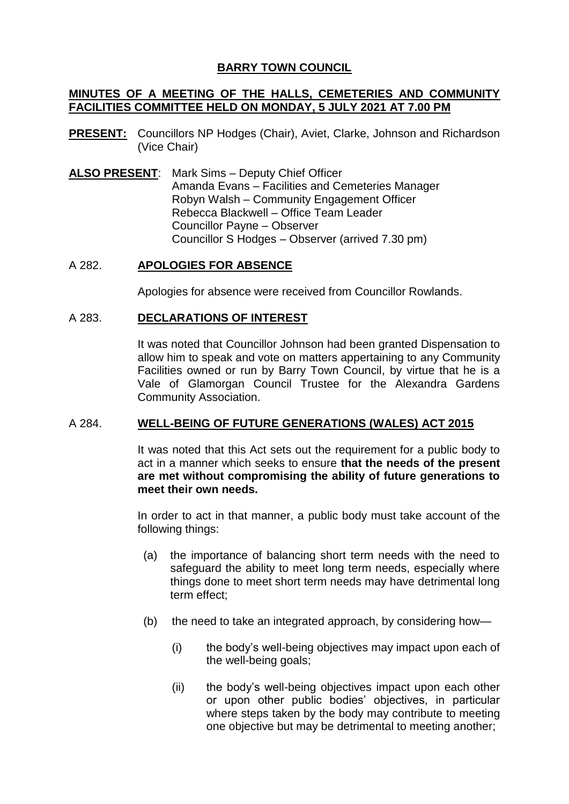# **BARRY TOWN COUNCIL**

## **MINUTES OF A MEETING OF THE HALLS, CEMETERIES AND COMMUNITY FACILITIES COMMITTEE HELD ON MONDAY, 5 JULY 2021 AT 7.00 PM**

- **PRESENT:** Councillors NP Hodges (Chair), Aviet, Clarke, Johnson and Richardson (Vice Chair)
- **ALSO PRESENT**: Mark Sims Deputy Chief Officer Amanda Evans – Facilities and Cemeteries Manager Robyn Walsh – Community Engagement Officer Rebecca Blackwell – Office Team Leader Councillor Payne – Observer Councillor S Hodges – Observer (arrived 7.30 pm)

## A 282. **APOLOGIES FOR ABSENCE**

Apologies for absence were received from Councillor Rowlands.

## A 283. **DECLARATIONS OF INTEREST**

It was noted that Councillor Johnson had been granted Dispensation to allow him to speak and vote on matters appertaining to any Community Facilities owned or run by Barry Town Council, by virtue that he is a Vale of Glamorgan Council Trustee for the Alexandra Gardens Community Association.

## A 284. **WELL-BEING OF FUTURE GENERATIONS (WALES) ACT 2015**

It was noted that this Act sets out the requirement for a public body to act in a manner which seeks to ensure **that the needs of the present are met without compromising the ability of future generations to meet their own needs.**

In order to act in that manner, a public body must take account of the following things:

- (a) the importance of balancing short term needs with the need to safeguard the ability to meet long term needs, especially where things done to meet short term needs may have detrimental long term effect;
- (b) the need to take an integrated approach, by considering how—
	- (i) the body's well-being objectives may impact upon each of the well-being goals;
	- (ii) the body's well-being objectives impact upon each other or upon other public bodies' objectives, in particular where steps taken by the body may contribute to meeting one objective but may be detrimental to meeting another;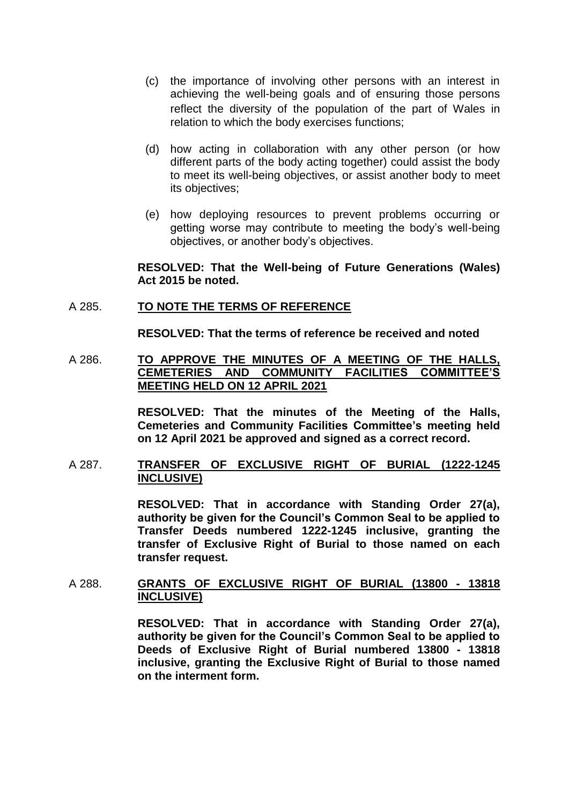- (c) the importance of involving other persons with an interest in achieving the well-being goals and of ensuring those persons reflect the diversity of the population of the part of Wales in relation to which the body exercises functions;
- (d) how acting in collaboration with any other person (or how different parts of the body acting together) could assist the body to meet its well-being objectives, or assist another body to meet its objectives;
- (e) how deploying resources to prevent problems occurring or getting worse may contribute to meeting the body's well-being objectives, or another body's objectives.

### **RESOLVED: That the Well-being of Future Generations (Wales) Act 2015 be noted.**

### A 285. **TO NOTE THE TERMS OF REFERENCE**

**RESOLVED: That the terms of reference be received and noted**

## A 286. **TO APPROVE THE MINUTES OF A MEETING OF THE HALLS, CEMETERIES AND COMMUNITY FACILITIES COMMITTEE'S MEETING HELD ON 12 APRIL 2021**

**RESOLVED: That the minutes of the Meeting of the Halls, Cemeteries and Community Facilities Committee's meeting held on 12 April 2021 be approved and signed as a correct record.**

### A 287. **TRANSFER OF EXCLUSIVE RIGHT OF BURIAL (1222-1245 INCLUSIVE)**

**RESOLVED: That in accordance with Standing Order 27(a), authority be given for the Council's Common Seal to be applied to Transfer Deeds numbered 1222-1245 inclusive, granting the transfer of Exclusive Right of Burial to those named on each transfer request.** 

## A 288. **GRANTS OF EXCLUSIVE RIGHT OF BURIAL (13800 - 13818 INCLUSIVE)**

**RESOLVED: That in accordance with Standing Order 27(a), authority be given for the Council's Common Seal to be applied to Deeds of Exclusive Right of Burial numbered 13800 - 13818 inclusive, granting the Exclusive Right of Burial to those named on the interment form.**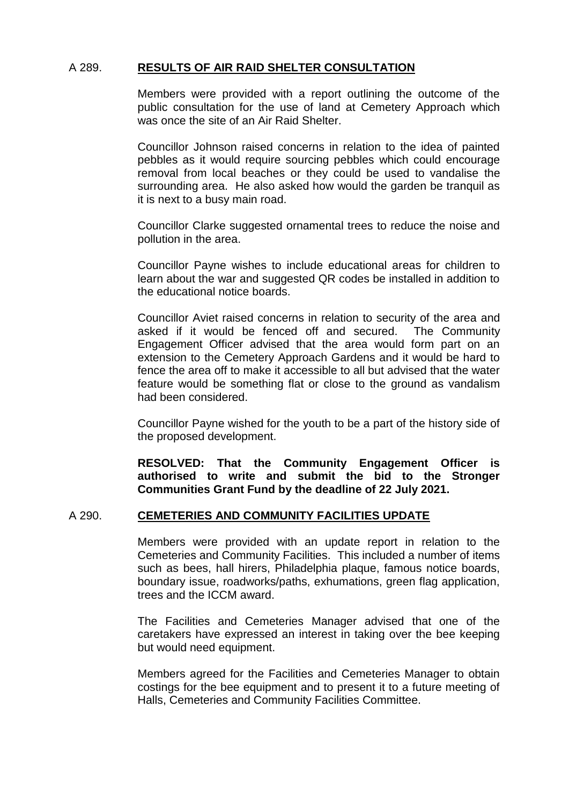## A 289. **RESULTS OF AIR RAID SHELTER CONSULTATION**

Members were provided with a report outlining the outcome of the public consultation for the use of land at Cemetery Approach which was once the site of an Air Raid Shelter.

Councillor Johnson raised concerns in relation to the idea of painted pebbles as it would require sourcing pebbles which could encourage removal from local beaches or they could be used to vandalise the surrounding area. He also asked how would the garden be tranquil as it is next to a busy main road.

Councillor Clarke suggested ornamental trees to reduce the noise and pollution in the area.

Councillor Payne wishes to include educational areas for children to learn about the war and suggested QR codes be installed in addition to the educational notice boards.

Councillor Aviet raised concerns in relation to security of the area and asked if it would be fenced off and secured. The Community Engagement Officer advised that the area would form part on an extension to the Cemetery Approach Gardens and it would be hard to fence the area off to make it accessible to all but advised that the water feature would be something flat or close to the ground as vandalism had been considered.

Councillor Payne wished for the youth to be a part of the history side of the proposed development.

**RESOLVED: That the Community Engagement Officer is authorised to write and submit the bid to the Stronger Communities Grant Fund by the deadline of 22 July 2021.** 

### A 290. **CEMETERIES AND COMMUNITY FACILITIES UPDATE**

Members were provided with an update report in relation to the Cemeteries and Community Facilities. This included a number of items such as bees, hall hirers, Philadelphia plaque, famous notice boards, boundary issue, roadworks/paths, exhumations, green flag application, trees and the ICCM award.

The Facilities and Cemeteries Manager advised that one of the caretakers have expressed an interest in taking over the bee keeping but would need equipment.

Members agreed for the Facilities and Cemeteries Manager to obtain costings for the bee equipment and to present it to a future meeting of Halls, Cemeteries and Community Facilities Committee.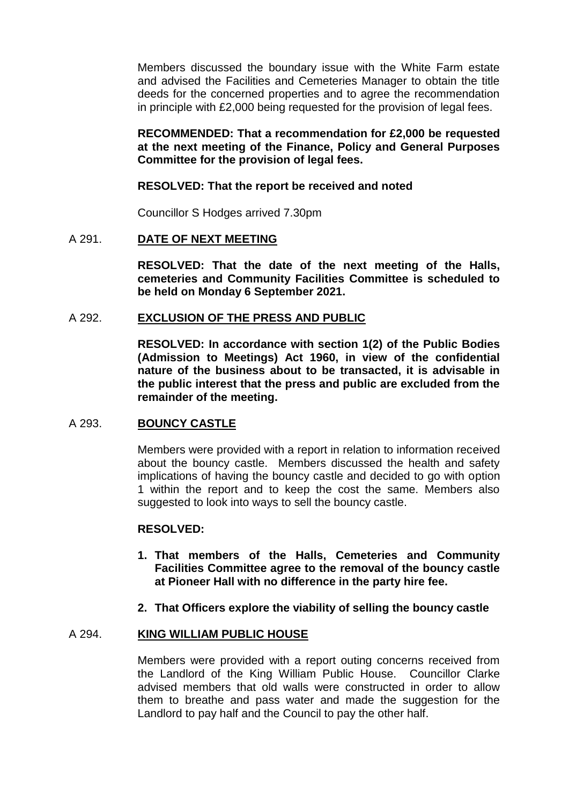Members discussed the boundary issue with the White Farm estate and advised the Facilities and Cemeteries Manager to obtain the title deeds for the concerned properties and to agree the recommendation in principle with £2,000 being requested for the provision of legal fees.

## **RECOMMENDED: That a recommendation for £2,000 be requested at the next meeting of the Finance, Policy and General Purposes Committee for the provision of legal fees.**

### **RESOLVED: That the report be received and noted**

Councillor S Hodges arrived 7.30pm

## A 291. **DATE OF NEXT MEETING**

**RESOLVED: That the date of the next meeting of the Halls, cemeteries and Community Facilities Committee is scheduled to be held on Monday 6 September 2021.**

## A 292. **EXCLUSION OF THE PRESS AND PUBLIC**

**RESOLVED: In accordance with section 1(2) of the Public Bodies (Admission to Meetings) Act 1960, in view of the confidential nature of the business about to be transacted, it is advisable in the public interest that the press and public are excluded from the remainder of the meeting.**

### A 293. **BOUNCY CASTLE**

Members were provided with a report in relation to information received about the bouncy castle. Members discussed the health and safety implications of having the bouncy castle and decided to go with option 1 within the report and to keep the cost the same. Members also suggested to look into ways to sell the bouncy castle.

### **RESOLVED:**

- **1. That members of the Halls, Cemeteries and Community Facilities Committee agree to the removal of the bouncy castle at Pioneer Hall with no difference in the party hire fee.**
- **2. That Officers explore the viability of selling the bouncy castle**

### A 294. **KING WILLIAM PUBLIC HOUSE**

Members were provided with a report outing concerns received from the Landlord of the King William Public House. Councillor Clarke advised members that old walls were constructed in order to allow them to breathe and pass water and made the suggestion for the Landlord to pay half and the Council to pay the other half.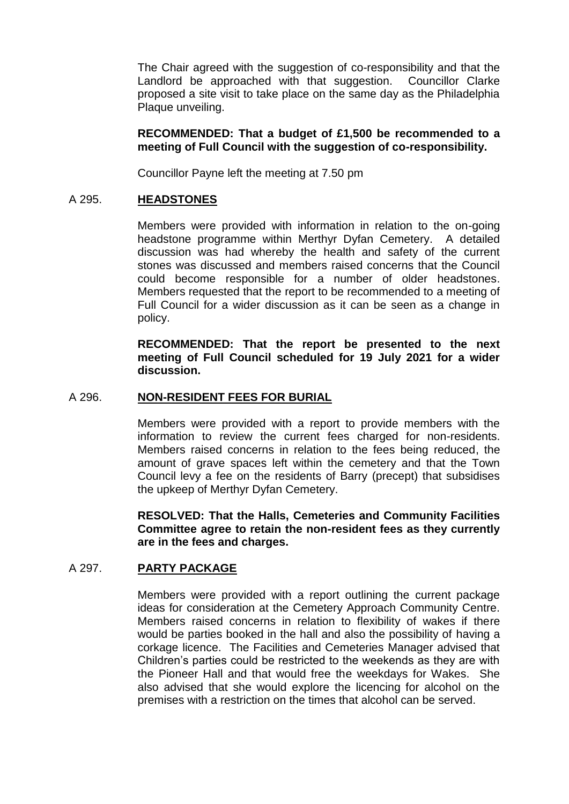The Chair agreed with the suggestion of co-responsibility and that the Landlord be approached with that suggestion. Councillor Clarke proposed a site visit to take place on the same day as the Philadelphia Plaque unveiling.

## **RECOMMENDED: That a budget of £1,500 be recommended to a meeting of Full Council with the suggestion of co-responsibility.**

Councillor Payne left the meeting at 7.50 pm

### A 295. **HEADSTONES**

Members were provided with information in relation to the on-going headstone programme within Merthyr Dyfan Cemetery. A detailed discussion was had whereby the health and safety of the current stones was discussed and members raised concerns that the Council could become responsible for a number of older headstones. Members requested that the report to be recommended to a meeting of Full Council for a wider discussion as it can be seen as a change in policy.

**RECOMMENDED: That the report be presented to the next meeting of Full Council scheduled for 19 July 2021 for a wider discussion.** 

#### A 296. **NON-RESIDENT FEES FOR BURIAL**

Members were provided with a report to provide members with the information to review the current fees charged for non-residents. Members raised concerns in relation to the fees being reduced, the amount of grave spaces left within the cemetery and that the Town Council levy a fee on the residents of Barry (precept) that subsidises the upkeep of Merthyr Dyfan Cemetery.

**RESOLVED: That the Halls, Cemeteries and Community Facilities Committee agree to retain the non-resident fees as they currently are in the fees and charges.** 

# A 297. **PARTY PACKAGE**

Members were provided with a report outlining the current package ideas for consideration at the Cemetery Approach Community Centre. Members raised concerns in relation to flexibility of wakes if there would be parties booked in the hall and also the possibility of having a corkage licence. The Facilities and Cemeteries Manager advised that Children's parties could be restricted to the weekends as they are with the Pioneer Hall and that would free the weekdays for Wakes. She also advised that she would explore the licencing for alcohol on the premises with a restriction on the times that alcohol can be served.